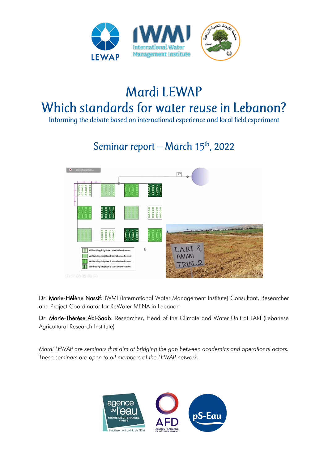

# Mardi LEWAP Which standards for water reuse in Lebanon?

Informing the debate based on international experience and local field experiment

# Seminar report - March 15th, 2022



Dr. Marie-Hélène Nassif: IWMI (International Water Management Institute) Consultant, Researcher and Project Coordinator for ReWater MENA in Lebanon

Dr. Marie-Thérèse Abi-Saab: Researcher, Head of the Climate and Water Unit at LARI (Lebanese Agricultural Research Institute)

*Mardi LEWAP are seminars that aim at bridging the gap between academics and operational actors. These seminars are open to all members of the LEWAP network.* 

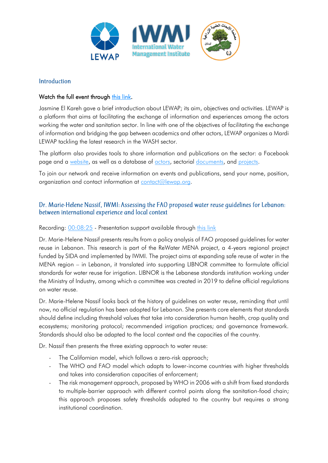

#### Introduction

# Watch the full event through [this link.](https://www.youtube.com/watch?v=s5BguCH4XAs&t=0s)

Jasmine El Kareh gave a brief introduction about LEWAP; its aim, objectives and activities. LEWAP is a platform that aims at facilitating the exchange of information and experiences among the actors working the water and sanitation sector. In line with one of the objectives of facilitating the exchange of information and bridging the gap between academics and other actors, LEWAP organizes a Mardi LEWAP tackling the latest research in the WASH sector.

The platform also provides tools to share information and publications on the sector: a Facebook page and a [website,](https://www.lewap.org/) as well as a database of [actors,](https://www.lewap.org/organisations/) sectorial [documents,](https://www.lewap.org/materials/) and [projects.](https://www.lewap.org/mapofprojects/)

To join our network and receive information on events and publications, send your name, position, organization and contact information at [contact@lewap.org.](mailto:contact@lewap.org)

#### Dr. Marie-Helene Nassif, IWMI: Assessing the FAO proposed water reuse guidelines for Lebanon: between international experience and local context

Recording: [00:08:25](https://www.youtube.com/watch?v=s5BguCH4XAs&t=505s) - Presentation support available through [this link](https://www.pseau.org/outils/ouvrages/iwmi_lewap_mardi_lewap_15_03_2022_presentation_1_assessing_water_reuse_guidelines_2022.pdf)

Dr. Marie-Helene Nassif presents results from a policy analysis of FAO proposed guidelines for water reuse in Lebanon. This research is part of the ReWater MENA project, a 4-years regional project funded by SIDA and implemented by IWMI. The project aims at expanding safe reuse of water in the MENA region – in Lebanon, it translated into supporting LIBNOR committee to formulate official standards for water reuse for irrigation. LIBNOR is the Lebanese standards institution working under the Ministry of Industry, among which a committee was created in 2019 to define official regulations on water reuse.

Dr. Marie-Helene Nassif looks back at the history of guidelines on water reuse, reminding that until now, no official regulation has been adopted for Lebanon. She presents core elements that standards should define including threshold values that take into consideration human health, crop quality and ecosystems; monitoring protocol; recommended irrigation practices; and governance framework. Standards should also be adapted to the local context and the capacities of the country.

Dr. Nassif then presents the three existing approach to water reuse:

- The Californian model, which follows a zero-risk approach;
- The WHO and FAO model which adapts to lower-income countries with higher thresholds and takes into consideration capacities of enforcement;
- The risk management approach, proposed by WHO in 2006 with a shift from fixed standards to multiple-barrier approach with different control points along the sanitation-food chain; this approach proposes safety thresholds adapted to the country but requires a strong institutional coordination.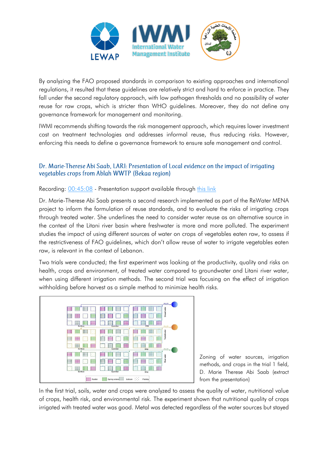

By analyzing the FAO proposed standards in comparison to existing approaches and international regulations, it resulted that these guidelines are relatively strict and hard to enforce in practice. They fall under the second regulatory approach, with low pathogen thresholds and no possibility of water reuse for raw crops, which is stricter than WHO guidelines. Moreover, they do not define any governance framework for management and monitoring.

IWMI recommends shifting towards the risk management approach, which requires lower investment cost on treatment technologies and addresses informal reuse, thus reducing risks. However, enforcing this needs to define a governance framework to ensure safe management and control.

## Dr. Marie-Therese Abi Saab, LARI: Presentation of Local evidence on the impact of irrigating vegetables crops from Ablah WWTP (Bekaa region)

Recording:  $0.045:08$  - Presentation support available through [this link](https://www.pseau.org/outils/ouvrages/lari_lewap_mardi_lewap_15_03_2022_presentation_2_results_from_field_experimentation_2022.pdf)

Dr. Marie-Therese Abi Saab presents a second research implemented as part of the ReWater MENA project to inform the formulation of reuse standards, and to evaluate the risks of irrigating crops through treated water. She underlines the need to consider water reuse as an alternative source in the context of the Litani river basin where freshwater is more and more polluted. The experiment studies the impact of using different sources of water on crops of vegetables eaten raw, to assess if the restrictiveness of FAO guidelines, which don't allow reuse of water to irrigate vegetables eaten raw, is relevant in the context of Lebanon.

Two trials were conducted; the first experiment was looking at the productivity, quality and risks on health, crops and environment, of treated water compared to groundwater and Litani river water, when using different irrigation methods. The second trial was focusing on the effect of irrigation withholding before harvest as a simple method to minimize health risks.



Zoning of water sources, irrigation methods, and crops in the trial 1 field, D. Marie Therese Abi Saab (extract from the presentation)

In the first trial, soils, water and crops were analyzed to assess the quality of water, nutritional value of crops, health risk, and environmental risk. The experiment shown that nutritional quality of crops irrigated with treated water was good. Metal was detected regardless of the water sources but stayed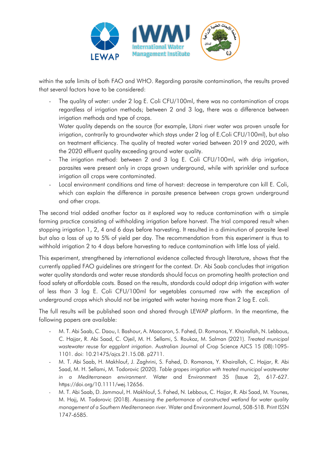

within the safe limits of both FAO and WHO. Regarding parasite contamination, the results proved that several factors have to be considered:

The quality of water: under 2 log E. Coli CFU/100ml, there was no contamination of crops regardless of irrigation methods; between 2 and 3 log, there was a difference between irrigation methods and type of crops.

Water quality depends on the source (for example, Litani river water was proven unsafe for irrigation, contrarily to groundwater which stays under 2 log of E.Coli CFU/100ml), but also on treatment efficiency. The quality of treated water varied between 2019 and 2020, with the 2020 effluent quality exceeding ground water quality.

- The irrigation method: between 2 and 3 log E. Coli CFU/100ml, with drip irrigation, parasites were present only in crops grown underground, while with sprinkler and surface irrigation all crops were contaminated.
- Local environment conditions and time of harvest: decrease in temperature can kill E. Coli, which can explain the difference in parasite presence between crops grown underground and other crops.

The second trial added another factor as it explored way to reduce contamination with a simple farming practice consisting of withholding irrigation before harvest. The trial compared result when stopping irrigation 1, 2, 4 and 6 days before harvesting. It resulted in a diminution of parasite level but also a loss of up to 5% of yield per day. The recommendation from this experiment is thus to withhold irrigation 2 to 4 days before harvesting to reduce contamination with little loss of yield.

This experiment, strengthened by international evidence collected through literature, shows that the currently applied FAO guidelines are stringent for the context. Dr. Abi Saab concludes that irrigation water quality standards and water reuse standards should focus on promoting health protection and food safety at affordable costs. Based on the results, standards could adopt drip irrigation with water of less than 3 log E. Coli CFU/100ml for vegetables consumed raw with the exception of underground crops which should not be irrigated with water having more than 2 log E. coli.

The full results will be published soon and shared through LEWAP platform. In the meantime, the following papers are available:

- M. T. Abi Saab, C. Daou, I. Bashour, A. Maacaron, S. Fahed, D. Romanos, Y. Khairallah, N. Lebbous, C. Hajjar, R. Abi Saad, C. Ojeil, M. H. Sellami, S. Roukoz, M. Salman (2021). *Treated municipal wastewater reuse for eggplant irrigation*. Australian Journal of Crop Science AJCS 15 (08):1095- 1101. doi: 10.21475/ajcs.21.15.08. p2711.
- M. T. Abi Saab, H. Makhlouf, J. Zaghrini, S. Fahed, D. Romanos, Y. Khairallah, C. Hajjar, R. Abi Saad, M. H. Sellami, M. Todorovic (2020). *Table grapes irrigation with treated municipal wastewater in a Mediterranean environment*. Water and Environment 35 (Issue 2), 617-627. https://doi.org/10.1111/wej.12656.
- M. T. Abi Saab, D. Jammoul, H. Makhlouf, S. Fahed, N. Lebbous, C. Hajjar, R. Abi Saad, M. Younes, M. Hajj, M. Todorovic (2018). *Assessing the performance of constructed wetland for water quality management of a Southern Mediterranean river.* Water and Environment Journal, 508-518. Print ISSN 1747-6585.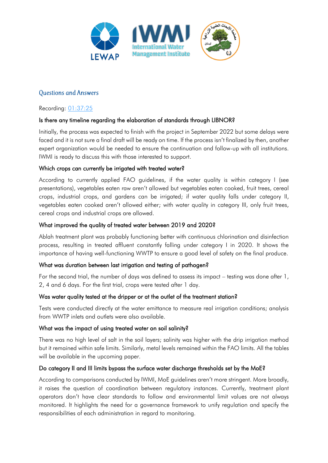

## **Ouestions and Answers**

#### Recording: [01:37:25](https://www.youtube.com/watch?v=s5BguCH4XAs&t=5845s)

#### Is there any timeline regarding the elaboration of standards through LIBNOR?

Initially, the process was expected to finish with the project in September 2022 but some delays were faced and it is not sure a final draft will be ready on time. If the process isn't finalized by then, another expert organization would be needed to ensure the continuation and follow-up with all institutions. IWMI is ready to discuss this with those interested to support.

#### Which crops can currently be irrigated with treated water?

According to currently applied FAO guidelines, if the water quality is within category I (see presentations), vegetables eaten raw aren't allowed but vegetables eaten cooked, fruit trees, cereal crops, industrial crops, and gardens can be irrigated; if water quality falls under category II, vegetables eaten cooked aren't allowed either; with water quality in category III, only fruit trees, cereal crops and industrial crops are allowed.

#### What improved the quality of treated water between 2019 and 2020?

Ablah treatment plant was probably functioning better with continuous chlorination and disinfection process, resulting in treated affluent constantly falling under category I in 2020. It shows the importance of having well-functioning WWTP to ensure a good level of safety on the final produce.

#### What was duration between last irrigation and testing of pathogen?

For the second trial, the number of days was defined to assess its impact – testing was done after 1, 2, 4 and 6 days. For the first trial, crops were tested after 1 day.

#### Was water quality tested at the dripper or at the outlet of the treatment station?

Tests were conducted directly at the water emittance to measure real irrigation conditions; analysis from WWTP inlets and outlets were also available.

#### What was the impact of using treated water on soil salinity?

There was no high level of salt in the soil layers; salinity was higher with the drip irrigation method but it remained within safe limits. Similarly, metal levels remained within the FAO limits. All the tables will be available in the upcoming paper.

#### Do category II and III limits bypass the surface water discharge thresholds set by the MoE?

According to comparisons conducted by IWMI, MoE guidelines aren't more stringent. More broadly, it raises the question of coordination between regulatory instances. Currently, treatment plant operators don't have clear standards to follow and environmental limit values are not always monitored. It highlights the need for a governance framework to unify regulation and specify the responsibilities of each administration in regard to monitoring.